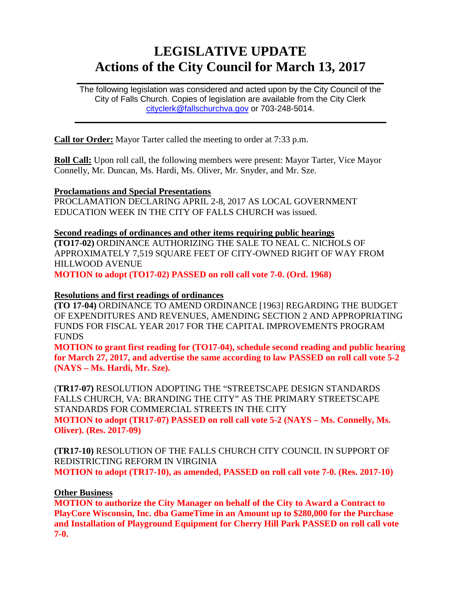# **LEGISLATIVE UPDATE Actions of the City Council for March 13, 2017**

The following legislation was considered and acted upon by the City Council of the City of Falls Church. Copies of legislation are available from the City Clerk [cityclerk@fallschurchva.gov](mailto:cityclerk@fallschurchva.gov) or 703-248-5014.

 $\frac{1}{2}$  ,  $\frac{1}{2}$  ,  $\frac{1}{2}$  ,  $\frac{1}{2}$  ,  $\frac{1}{2}$  ,  $\frac{1}{2}$  ,  $\frac{1}{2}$  ,  $\frac{1}{2}$  ,  $\frac{1}{2}$  ,  $\frac{1}{2}$  ,  $\frac{1}{2}$  ,  $\frac{1}{2}$  ,  $\frac{1}{2}$  ,  $\frac{1}{2}$  ,  $\frac{1}{2}$  ,  $\frac{1}{2}$  ,  $\frac{1}{2}$  ,  $\frac{1}{2}$  ,  $\frac{1$ 

 $\frac{1}{2}$  ,  $\frac{1}{2}$  ,  $\frac{1}{2}$  ,  $\frac{1}{2}$  ,  $\frac{1}{2}$  ,  $\frac{1}{2}$  ,  $\frac{1}{2}$  ,  $\frac{1}{2}$  ,  $\frac{1}{2}$  ,  $\frac{1}{2}$  ,  $\frac{1}{2}$  ,  $\frac{1}{2}$  ,  $\frac{1}{2}$  ,  $\frac{1}{2}$  ,  $\frac{1}{2}$  ,  $\frac{1}{2}$  ,  $\frac{1}{2}$  ,  $\frac{1}{2}$  ,  $\frac{1$ 

**Call tor Order:** Mayor Tarter called the meeting to order at 7:33 p.m.

**Roll Call:** Upon roll call, the following members were present: Mayor Tarter, Vice Mayor Connelly, Mr. Duncan, Ms. Hardi, Ms. Oliver, Mr. Snyder, and Mr. Sze.

### **Proclamations and Special Presentations**

PROCLAMATION DECLARING APRIL 2-8, 2017 AS LOCAL GOVERNMENT EDUCATION WEEK IN THE CITY OF FALLS CHURCH was issued.

**Second readings of ordinances and other items requiring public hearings (TO17-02)** ORDINANCE AUTHORIZING THE SALE TO NEAL C. NICHOLS OF APPROXIMATELY 7,519 SQUARE FEET OF CITY-OWNED RIGHT OF WAY FROM HILLWOOD AVENUE

**MOTION to adopt (TO17-02) PASSED on roll call vote 7-0. (Ord. 1968)**

### **Resolutions and first readings of ordinances**

**(TO 17-04)** ORDINANCE TO AMEND ORDINANCE [1963] REGARDING THE BUDGET OF EXPENDITURES AND REVENUES, AMENDING SECTION 2 AND APPROPRIATING FUNDS FOR FISCAL YEAR 2017 FOR THE CAPITAL IMPROVEMENTS PROGRAM FUNDS

**MOTION to grant first reading for (TO17-04), schedule second reading and public hearing for March 27, 2017, and advertise the same according to law PASSED on roll call vote 5-2 (NAYS – Ms. Hardi, Mr. Sze).**

(**TR17-07)** RESOLUTION ADOPTING THE "STREETSCAPE DESIGN STANDARDS FALLS CHURCH, VA: BRANDING THE CITY" AS THE PRIMARY STREETSCAPE STANDARDS FOR COMMERCIAL STREETS IN THE CITY **MOTION to adopt (TR17-07) PASSED on roll call vote 5-2 (NAYS – Ms. Connelly, Ms.** 

**Oliver). (Res. 2017-09)**

**(TR17-10)** RESOLUTION OF THE FALLS CHURCH CITY COUNCIL IN SUPPORT OF REDISTRICTING REFORM IN VIRGINIA **MOTION to adopt (TR17-10), as amended, PASSED on roll call vote 7-0. (Res. 2017-10)**

### **Other Business**

**MOTION to authorize the City Manager on behalf of the City to Award a Contract to PlayCore Wisconsin, Inc. dba GameTime in an Amount up to \$280,000 for the Purchase and Installation of Playground Equipment for Cherry Hill Park PASSED on roll call vote 7-0.**